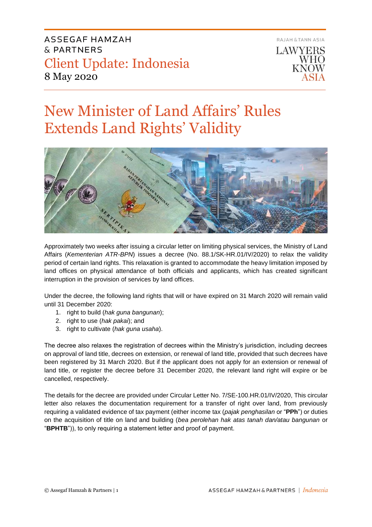

# New Minister of Land Affairs' Rules Extends Land Rights' Validity



Approximately two weeks after issuing a circular letter on limiting physical services, the Ministry of Land Affairs (*Kementerian ATR-BPN*) issues a decree (No. 88.1/SK-HR.01/IV/2020) to relax the validity period of certain land rights. This relaxation is granted to accommodate the heavy limitation imposed by land offices on physical attendance of both officials and applicants, which has created significant interruption in the provision of services by land offices.

Under the decree, the following land rights that will or have expired on 31 March 2020 will remain valid until 31 December 2020:

- 1. right to build (*hak guna bangunan*);
- 2. right to use (*hak pakai*); and
- 3. right to cultivate (*hak guna usaha*).

The decree also relaxes the registration of decrees within the Ministry's jurisdiction, including decrees on approval of land title, decrees on extension, or renewal of land title, provided that such decrees have been registered by 31 March 2020. But if the applicant does not apply for an extension or renewal of land title, or register the decree before 31 December 2020, the relevant land right will expire or be cancelled, respectively.

The details for the decree are provided under Circular Letter No. 7/SE-100.HR.01/IV/2020, This circular letter also relaxes the documentation requirement for a transfer of right over land, from previously requiring a validated evidence of tax payment (either income tax (*pajak penghasilan* or "**PPh**") or duties on the acquisition of title on land and building (*bea perolehan hak atas tanah dan/atau bangunan* or "**BPHTB**")), to only requiring a statement letter and proof of payment.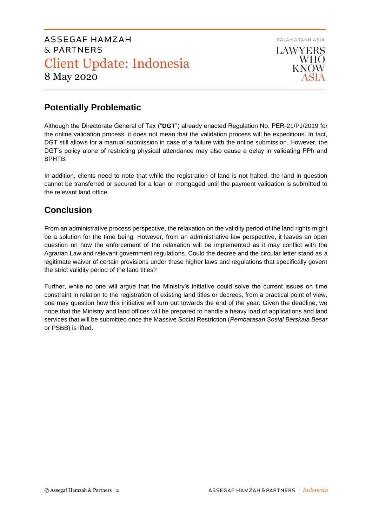

## **Potentially Problematic**

Although the Directorate General of Tax ("**DGT**") already enacted Regulation No. PER-21/PJ/2019 for the online validation process, it does not mean that the validation process will be expeditious. In fact, DGT still allows for a manual submission in case of a failure with the online submission. However, the DGT's policy alone of restricting physical attendance may also cause a delay in validating PPh and BPHTB.

In addition, clients need to note that while the registration of land is not halted, the land in question cannot be transferred or secured for a loan or mortgaged until the payment validation is submitted to the relevant land office.

## **Conclusion**

From an administrative process perspective, the relaxation on the validity period of the land rights might be a solution for the time being. However, from an administrative law perspective, it leaves an open question on how the enforcement of the relaxation will be implemented as it may conflict with the Agrarian Law and relevant government regulations. Could the decree and the circular letter stand as a legitimate waiver of certain provisions under these higher laws and regulations that specifically govern the strict validity period of the land titles?

Further, while no one will argue that the Ministry's initiative could solve the current issues on time constraint in relation to the registration of existing land titles or decrees, from a practical point of view, one may question how this initiative will turn out towards the end of the year. Given the deadline, we hope that the Ministry and land offices will be prepared to handle a heavy load of applications and land services that will be submitted once the Massive Social Restriction (*Pembatasan Sosial Berskala Besar*  or PSBB) is lifted.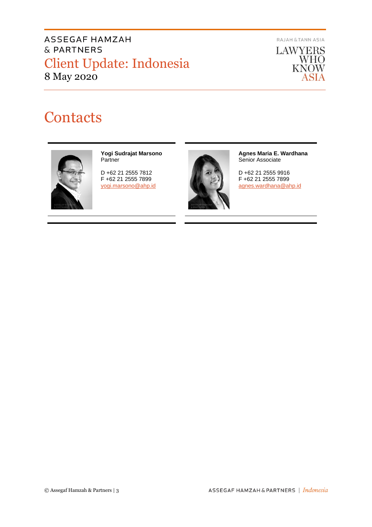RAJAH & TANN ASIA



# **Contacts**



#### **Yogi Sudrajat Marsono** Partner

D +62 21 2555 7812 F +62 21 2555 7899 [yogi.marsono@ahp.id](mailto:yogi.marsono@ahp.id)



**Agnes Maria E. Wardhana** Senior Associate

D +62 21 2555 9916 F +62 21 2555 7899 [agnes.wardhana@ahp.id](mailto:agnes.wardhana@ahp.id)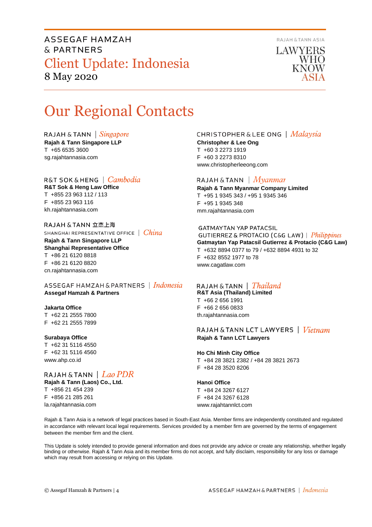

LAWYERS **WHO KNOW** 

# Our Regional Contacts

RAJAH & TANN  $\int$  *Singapore* 

**Rajah & Tann Singapore LLP** T +65 6535 3600 sg.rajahtannasia.com

### R&T SOK&HENG | *Cambodia*

**R&T Sok & Heng Law Office** T +855 23 963 112 / 113 F +855 23 963 116 kh.rajahtannasia.com

RAJAH & TANN 立杰上海 SHANGHAI REPRESENTATIVE OFFICE | China **Rajah & Tann Singapore LLP Shanghai Representative Office** T +86 21 6120 8818 F +86 21 6120 8820 cn.rajahtannasia.com

ASSEGAF HAMZAH & PARTNERS | Indonesia **Assegaf Hamzah & Partners**

### **Jakarta Office**

T +62 21 2555 7800 F +62 21 2555 7899

#### **Surabaya Office**

T +62 31 5116 4550 F +62 31 5116 4560 www.ahp.co.id

RAJAH & TANN | Lao PDR **Rajah & Tann (Laos) Co., Ltd.** T +856 21 454 239 F +856 21 285 261 la.rajahtannasia.com

## **CHRISTOPHER & LEE ONG** | Malaysia

**Christopher & Lee Ong** T +60 3 2273 1919 F +60 3 2273 8310 www.christopherleeong.com

### RAJAH & TANN  $\mid$  *Myanmar*

**Rajah & Tann Myanmar Company Limited** T +95 1 9345 343 / +95 1 9345 346 F +95 1 9345 348 mm.rajahtannasia.com

#### **GATMAYTAN YAP PATACSIL**

GUTIERREZ & PROTACIO (C&G LAW) | Philippines **Gatmaytan Yap Patacsil Gutierrez & Protacio (C&G Law)**  T +632 8894 0377 to 79 / +632 8894 4931 to 32 F +632 8552 1977 to 78 www.cagatlaw.com

### RAJAH & TANN | Thailand

**R&T Asia (Thailand) Limited** T +66 2 656 1991 F +66 2 656 0833 th.rajahtannasia.com

RAJAH & TANN LCT LAWYERS | Vietnam **Rajah & Tann LCT Lawyers**

#### **Ho Chi Minh City Office** T +84 28 3821 2382 / +84 28 3821 2673 F +84 28 3520 8206

**Hanoi Office** T +84 24 3267 6127

F +84 24 3267 6128 www.rajahtannlct.com

Rajah & Tann Asia is a network of legal practices based in South-East Asia. Member firms are independently constituted and regulated in accordance with relevant local legal requirements. Services provided by a member firm are governed by the terms of engagement between the member firm and the client.

This Update is solely intended to provide general information and does not provide any advice or create any relationship, whether legally binding or otherwise. Rajah & Tann Asia and its member firms do not accept, and fully disclaim, responsibility for any loss or damage which may result from accessing or relying on this Update.